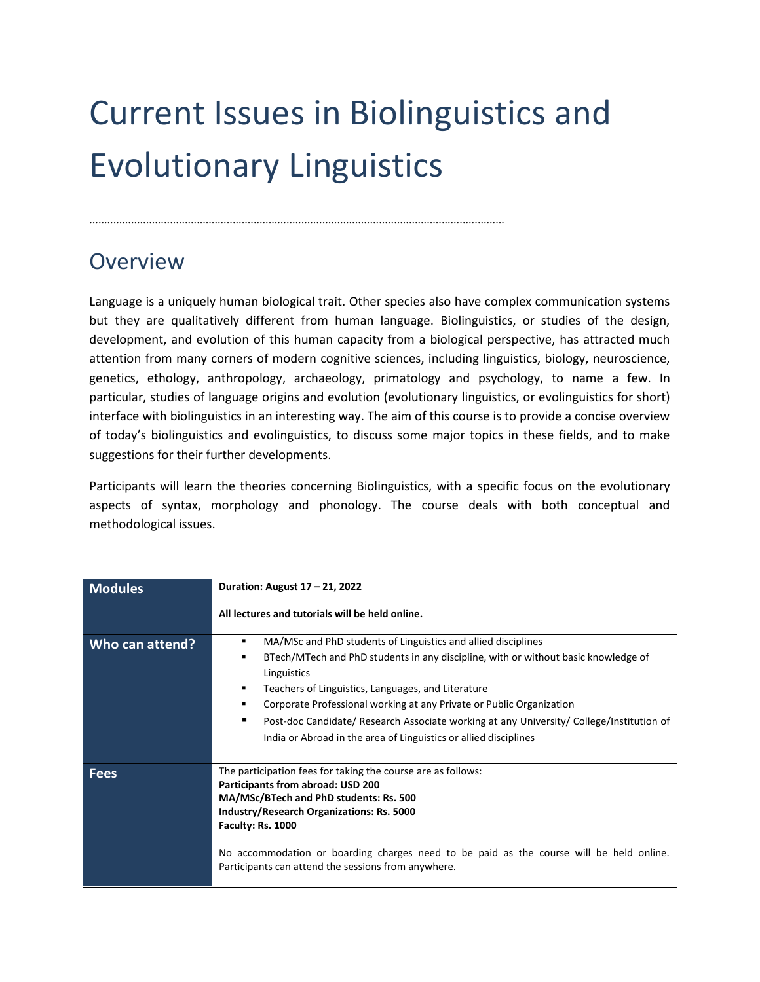## Current Issues in Biolinguistics and Evolutionary Linguistics

...........................................................................................................................................

## **Overview**

Language is a uniquely human biological trait. Other species also have complex communication systems but they are qualitatively different from human language. Biolinguistics, or studies of the design, development, and evolution of this human capacity from a biological perspective, has attracted much attention from many corners of modern cognitive sciences, including linguistics, biology, neuroscience, genetics, ethology, anthropology, archaeology, primatology and psychology, to name a few. In particular, studies of language origins and evolution (evolutionary linguistics, or evolinguistics for short) interface with biolinguistics in an interesting way. The aim of this course is to provide a concise overview of today's biolinguistics and evolinguistics, to discuss some major topics in these fields, and to make suggestions for their further developments.

Participants will learn the theories concerning Biolinguistics, with a specific focus on the evolutionary aspects of syntax, morphology and phonology. The course deals with both conceptual and methodological issues.

| <b>Modules</b>  | Duration: August 17 - 21, 2022                                                                                                                                                                                                                                                                                                                                                                                                                                             |
|-----------------|----------------------------------------------------------------------------------------------------------------------------------------------------------------------------------------------------------------------------------------------------------------------------------------------------------------------------------------------------------------------------------------------------------------------------------------------------------------------------|
|                 | All lectures and tutorials will be held online.                                                                                                                                                                                                                                                                                                                                                                                                                            |
| Who can attend? | MA/MSc and PhD students of Linguistics and allied disciplines<br>٠<br>BTech/MTech and PhD students in any discipline, with or without basic knowledge of<br>٠<br>Linguistics<br>Teachers of Linguistics, Languages, and Literature<br>Corporate Professional working at any Private or Public Organization<br>Post-doc Candidate/ Research Associate working at any University/ College/Institution of<br>India or Abroad in the area of Linguistics or allied disciplines |
| <b>Fees</b>     | The participation fees for taking the course are as follows:<br>Participants from abroad: USD 200<br>MA/MSc/BTech and PhD students: Rs. 500<br><b>Industry/Research Organizations: Rs. 5000</b><br>Faculty: Rs. 1000<br>No accommodation or boarding charges need to be paid as the course will be held online.<br>Participants can attend the sessions from anywhere.                                                                                                     |